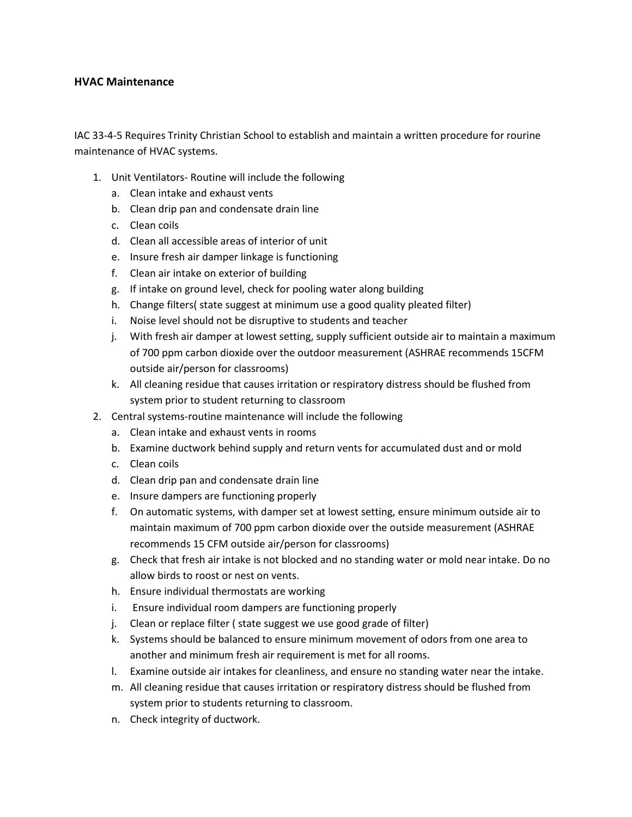## **HVAC Maintenance**

IAC 33-4-5 Requires Trinity Christian School to establish and maintain a written procedure for rourine maintenance of HVAC systems.

- 1. Unit Ventilators- Routine will include the following
	- a. Clean intake and exhaust vents
	- b. Clean drip pan and condensate drain line
	- c. Clean coils
	- d. Clean all accessible areas of interior of unit
	- e. Insure fresh air damper linkage is functioning
	- f. Clean air intake on exterior of building
	- g. If intake on ground level, check for pooling water along building
	- h. Change filters( state suggest at minimum use a good quality pleated filter)
	- i. Noise level should not be disruptive to students and teacher
	- j. With fresh air damper at lowest setting, supply sufficient outside air to maintain a maximum of 700 ppm carbon dioxide over the outdoor measurement (ASHRAE recommends 15CFM outside air/person for classrooms)
	- k. All cleaning residue that causes irritation or respiratory distress should be flushed from system prior to student returning to classroom
- 2. Central systems-routine maintenance will include the following
	- a. Clean intake and exhaust vents in rooms
	- b. Examine ductwork behind supply and return vents for accumulated dust and or mold
	- c. Clean coils
	- d. Clean drip pan and condensate drain line
	- e. Insure dampers are functioning properly
	- f. On automatic systems, with damper set at lowest setting, ensure minimum outside air to maintain maximum of 700 ppm carbon dioxide over the outside measurement (ASHRAE recommends 15 CFM outside air/person for classrooms)
	- g. Check that fresh air intake is not blocked and no standing water or mold near intake. Do no allow birds to roost or nest on vents.
	- h. Ensure individual thermostats are working
	- i. Ensure individual room dampers are functioning properly
	- j. Clean or replace filter ( state suggest we use good grade of filter)
	- k. Systems should be balanced to ensure minimum movement of odors from one area to another and minimum fresh air requirement is met for all rooms.
	- l. Examine outside air intakes for cleanliness, and ensure no standing water near the intake.
	- m. All cleaning residue that causes irritation or respiratory distress should be flushed from system prior to students returning to classroom.
	- n. Check integrity of ductwork.